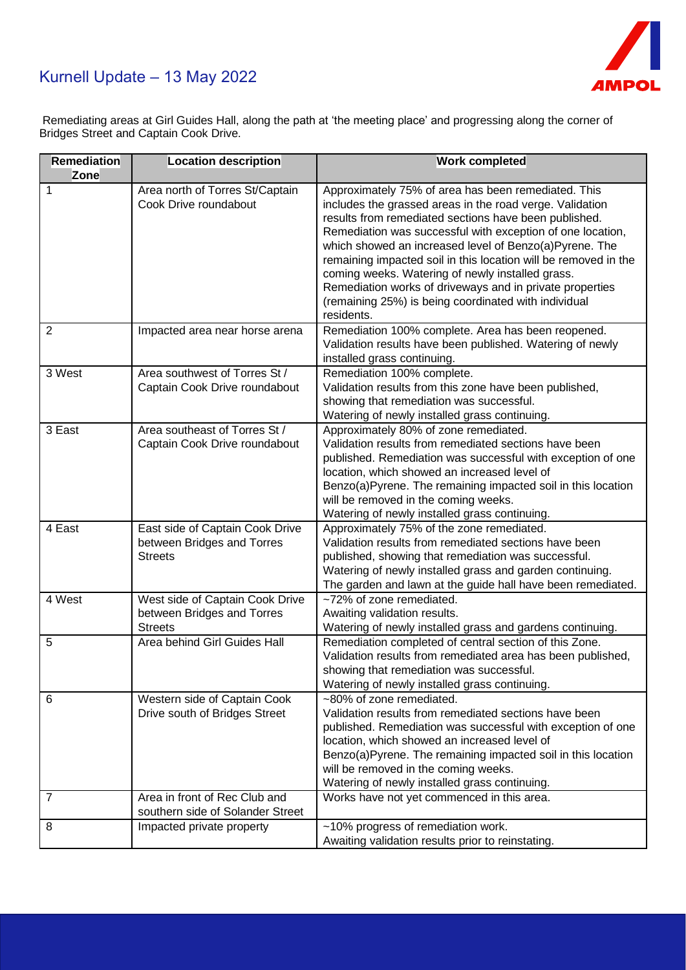## Kurnell Update – 13 May 2022



Remediating areas at Girl Guides Hall, along the path at 'the meeting place' and progressing along the corner of Bridges Street and Captain Cook Drive.

| Remediation<br><b>Zone</b> | <b>Location description</b>                                                     | <b>Work completed</b>                                                                                                                                                                                                                                                                                                                                                                                                                                                                                                                                     |
|----------------------------|---------------------------------------------------------------------------------|-----------------------------------------------------------------------------------------------------------------------------------------------------------------------------------------------------------------------------------------------------------------------------------------------------------------------------------------------------------------------------------------------------------------------------------------------------------------------------------------------------------------------------------------------------------|
| 1                          | Area north of Torres St/Captain<br>Cook Drive roundabout                        | Approximately 75% of area has been remediated. This<br>includes the grassed areas in the road verge. Validation<br>results from remediated sections have been published.<br>Remediation was successful with exception of one location,<br>which showed an increased level of Benzo(a)Pyrene. The<br>remaining impacted soil in this location will be removed in the<br>coming weeks. Watering of newly installed grass.<br>Remediation works of driveways and in private properties<br>(remaining 25%) is being coordinated with individual<br>residents. |
| 2                          | Impacted area near horse arena                                                  | Remediation 100% complete. Area has been reopened.<br>Validation results have been published. Watering of newly<br>installed grass continuing.                                                                                                                                                                                                                                                                                                                                                                                                            |
| 3 West                     | Area southwest of Torres St /<br>Captain Cook Drive roundabout                  | Remediation 100% complete.<br>Validation results from this zone have been published,<br>showing that remediation was successful.<br>Watering of newly installed grass continuing.                                                                                                                                                                                                                                                                                                                                                                         |
| 3 East                     | Area southeast of Torres St /<br>Captain Cook Drive roundabout                  | Approximately 80% of zone remediated.<br>Validation results from remediated sections have been<br>published. Remediation was successful with exception of one<br>location, which showed an increased level of<br>Benzo(a)Pyrene. The remaining impacted soil in this location<br>will be removed in the coming weeks.<br>Watering of newly installed grass continuing.                                                                                                                                                                                    |
| 4 East                     | East side of Captain Cook Drive<br>between Bridges and Torres<br><b>Streets</b> | Approximately 75% of the zone remediated.<br>Validation results from remediated sections have been<br>published, showing that remediation was successful.<br>Watering of newly installed grass and garden continuing.<br>The garden and lawn at the guide hall have been remediated.                                                                                                                                                                                                                                                                      |
| 4 West                     | West side of Captain Cook Drive<br>between Bridges and Torres<br><b>Streets</b> | ~72% of zone remediated.<br>Awaiting validation results.<br>Watering of newly installed grass and gardens continuing.                                                                                                                                                                                                                                                                                                                                                                                                                                     |
| 5                          | Area behind Girl Guides Hall                                                    | Remediation completed of central section of this Zone.<br>Validation results from remediated area has been published,<br>showing that remediation was successful.<br>Watering of newly installed grass continuing.                                                                                                                                                                                                                                                                                                                                        |
| 6                          | Western side of Captain Cook<br>Drive south of Bridges Street                   | ~80% of zone remediated.<br>Validation results from remediated sections have been<br>published. Remediation was successful with exception of one<br>location, which showed an increased level of<br>Benzo(a)Pyrene. The remaining impacted soil in this location<br>will be removed in the coming weeks.<br>Watering of newly installed grass continuing.                                                                                                                                                                                                 |
| 7                          | Area in front of Rec Club and<br>southern side of Solander Street               | Works have not yet commenced in this area.                                                                                                                                                                                                                                                                                                                                                                                                                                                                                                                |
| 8                          | Impacted private property                                                       | ~10% progress of remediation work.<br>Awaiting validation results prior to reinstating.                                                                                                                                                                                                                                                                                                                                                                                                                                                                   |